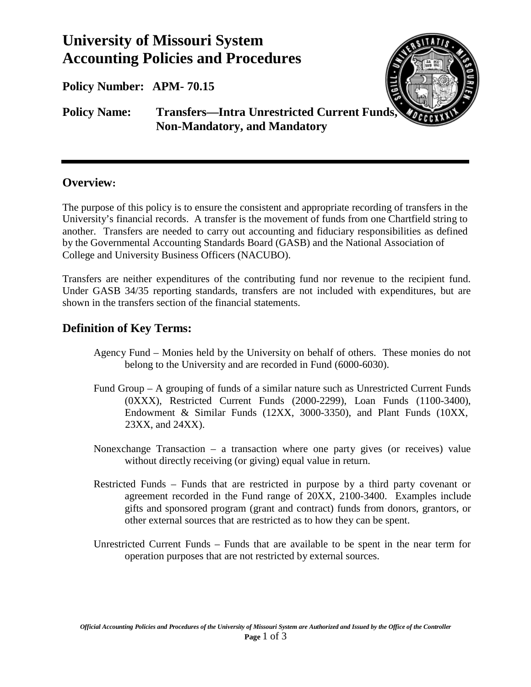# **University of Missouri System Accounting Policies and Procedures**

**Policy Number: APM- 70.15**



## **Policy Name: Transfers—Intra Unrestricted Current Funds, Non-Mandatory, and Mandatory**

#### **Overview:**

The purpose of this policy is to ensure the consistent and appropriate recording of transfers in the University's financial records. A transfer is the movement of funds from one Chartfield string to another. Transfers are needed to carry out accounting and fiduciary responsibilities as defined by the Governmental Accounting Standards Board (GASB) and the National Association of College and University Business Officers (NACUBO).

Transfers are neither expenditures of the contributing fund nor revenue to the recipient fund. Under GASB 34/35 reporting standards, transfers are not included with expenditures, but are shown in the transfers section of the financial statements.

#### **Definition of Key Terms:**

- Agency Fund Monies held by the University on behalf of others. These monies do not belong to the University and are recorded in Fund (6000-6030).
- Fund Group A grouping of funds of a similar nature such as Unrestricted Current Funds (0XXX), Restricted Current Funds (2000-2299), Loan Funds (1100-3400), Endowment & Similar Funds (12XX, 3000-3350), and Plant Funds (10XX, 23XX, and 24XX).
- Nonexchange Transaction a transaction where one party gives (or receives) value without directly receiving (or giving) equal value in return.
- Restricted Funds Funds that are restricted in purpose by a third party covenant or agreement recorded in the Fund range of 20XX, 2100-3400. Examples include gifts and sponsored program (grant and contract) funds from donors, grantors, or other external sources that are restricted as to how they can be spent.
- Unrestricted Current Funds Funds that are available to be spent in the near term for operation purposes that are not restricted by external sources.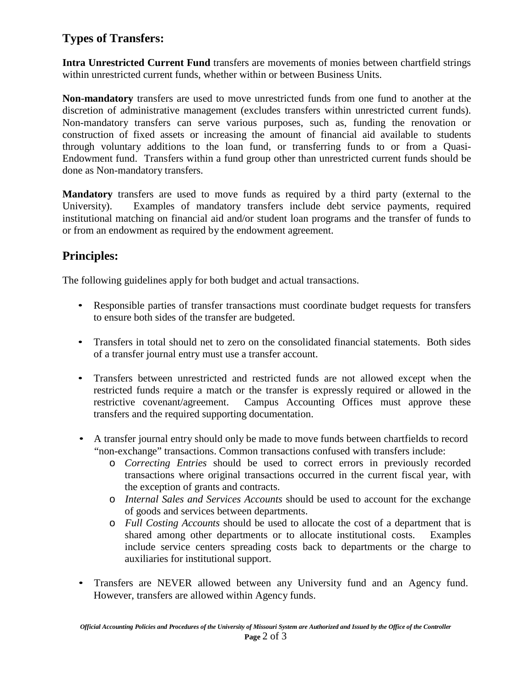### **Types of Transfers:**

**Intra Unrestricted Current Fund** transfers are movements of monies between chartfield strings within unrestricted current funds, whether within or between Business Units.

**Non-mandatory** transfers are used to move unrestricted funds from one fund to another at the discretion of administrative management (excludes transfers within unrestricted current funds). Non-mandatory transfers can serve various purposes, such as, funding the renovation or construction of fixed assets or increasing the amount of financial aid available to students through voluntary additions to the loan fund, or transferring funds to or from a Quasi-Endowment fund. Transfers within a fund group other than unrestricted current funds should be done as Non-mandatory transfers.

**Mandatory** transfers are used to move funds as required by a third party (external to the University). Examples of mandatory transfers include debt service payments, required institutional matching on financial aid and/or student loan programs and the transfer of funds to or from an endowment as required by the endowment agreement.

#### **Principles:**

The following guidelines apply for both budget and actual transactions.

- Responsible parties of transfer transactions must coordinate budget requests for transfers to ensure both sides of the transfer are budgeted.
- Transfers in total should net to zero on the consolidated financial statements. Both sides of a transfer journal entry must use a transfer account.
- Transfers between unrestricted and restricted funds are not allowed except when the restricted funds require a match or the transfer is expressly required or allowed in the restrictive covenant/agreement. Campus Accounting Offices must approve these transfers and the required supporting documentation.
- A transfer journal entry should only be made to move funds between chartfields to record "non-exchange" transactions. Common transactions confused with transfers include:
	- o *Correcting Entries* should be used to correct errors in previously recorded transactions where original transactions occurred in the current fiscal year, with the exception of grants and contracts.
	- o *Internal Sales and Services Accounts* should be used to account for the exchange of goods and services between departments.
	- o *Full Costing Accounts* should be used to allocate the cost of a department that is shared among other departments or to allocate institutional costs. include service centers spreading costs back to departments or the charge to auxiliaries for institutional support.
- Transfers are NEVER allowed between any University fund and an Agency fund. However, transfers are allowed within Agency funds.